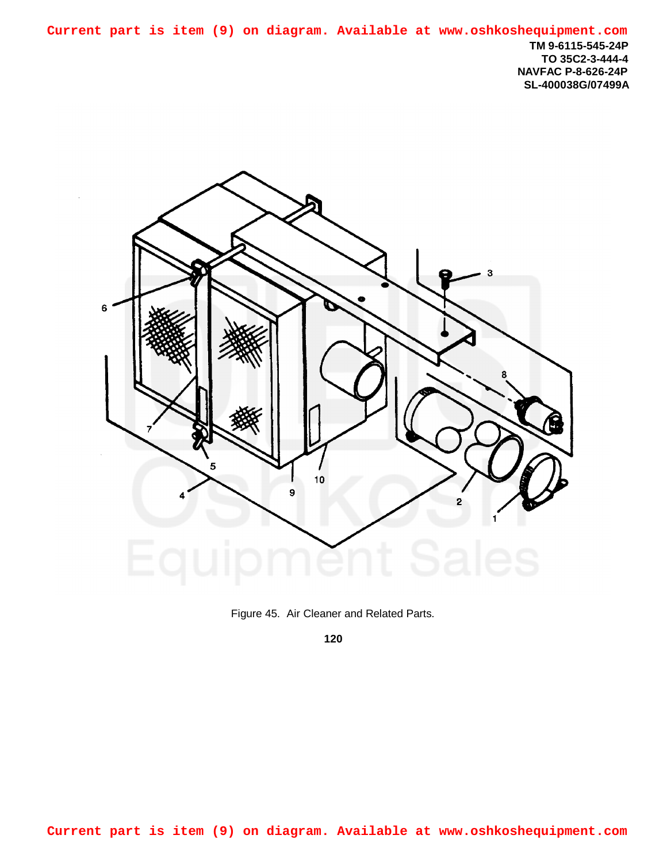**TM 9-6115-545-24P TO 35C2-3-444-4 NAVFAC P-8-626-24P SL-400038G/07499A Current part is item (9) on diagram. Available at www.oshkoshequipment.com**



Figure 45. Air Cleaner and Related Parts.

**120**